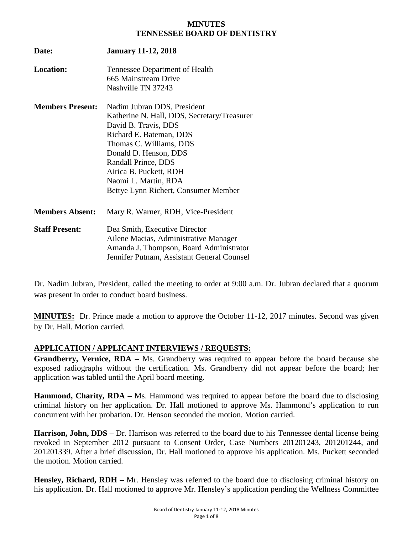#### **MINUTES TENNESSEE BOARD OF DENTISTRY**

| Date:                   | <b>January 11-12, 2018</b>                                                                                                                                      |
|-------------------------|-----------------------------------------------------------------------------------------------------------------------------------------------------------------|
| <b>Location:</b>        | Tennessee Department of Health<br>665 Mainstream Drive                                                                                                          |
|                         | Nashville TN 37243                                                                                                                                              |
| <b>Members Present:</b> | Nadim Jubran DDS, President<br>Katherine N. Hall, DDS, Secretary/Treasurer<br>David B. Travis, DDS                                                              |
|                         | Richard E. Bateman, DDS                                                                                                                                         |
|                         | Thomas C. Williams, DDS                                                                                                                                         |
|                         | Donald D. Henson, DDS                                                                                                                                           |
|                         | Randall Prince, DDS                                                                                                                                             |
|                         | Airica B. Puckett, RDH                                                                                                                                          |
|                         | Naomi L. Martin, RDA                                                                                                                                            |
|                         | Bettye Lynn Richert, Consumer Member                                                                                                                            |
| <b>Members Absent:</b>  | Mary R. Warner, RDH, Vice-President                                                                                                                             |
| <b>Staff Present:</b>   | Dea Smith, Executive Director<br>Ailene Macias, Administrative Manager<br>Amanda J. Thompson, Board Administrator<br>Jennifer Putnam, Assistant General Counsel |

Dr. Nadim Jubran, President, called the meeting to order at 9:00 a.m. Dr. Jubran declared that a quorum was present in order to conduct board business.

**MINUTES:** Dr. Prince made a motion to approve the October 11-12, 2017 minutes. Second was given by Dr. Hall. Motion carried.

## **APPLICATION / APPLICANT INTERVIEWS / REQUESTS:**

**Grandberry, Vernice, RDA –** Ms. Grandberry was required to appear before the board because she exposed radiographs without the certification. Ms. Grandberry did not appear before the board; her application was tabled until the April board meeting.

**Hammond, Charity, RDA –** Ms. Hammond was required to appear before the board due to disclosing criminal history on her application. Dr. Hall motioned to approve Ms. Hammond's application to run concurrent with her probation. Dr. Henson seconded the motion. Motion carried.

**Harrison, John, DDS** – Dr. Harrison was referred to the board due to his Tennessee dental license being revoked in September 2012 pursuant to Consent Order, Case Numbers 201201243, 201201244, and 201201339. After a brief discussion, Dr. Hall motioned to approve his application. Ms. Puckett seconded the motion. Motion carried.

**Hensley, Richard, RDH –** Mr. Hensley was referred to the board due to disclosing criminal history on his application. Dr. Hall motioned to approve Mr. Hensley's application pending the Wellness Committee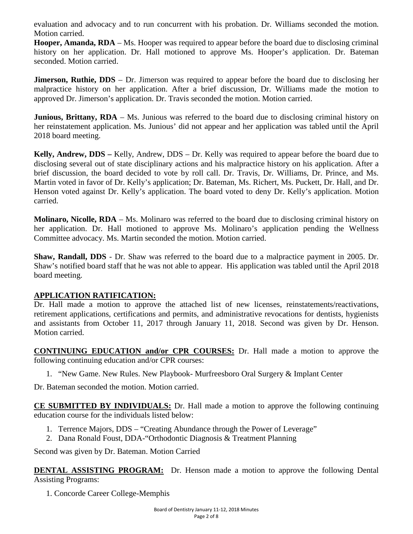evaluation and advocacy and to run concurrent with his probation. Dr. Williams seconded the motion. Motion carried.

**Hooper, Amanda, RDA** – Ms. Hooper was required to appear before the board due to disclosing criminal history on her application. Dr. Hall motioned to approve Ms. Hooper's application. Dr. Bateman seconded. Motion carried.

**Jimerson, Ruthie, DDS** – Dr. Jimerson was required to appear before the board due to disclosing her malpractice history on her application. After a brief discussion, Dr. Williams made the motion to approved Dr. Jimerson's application. Dr. Travis seconded the motion. Motion carried.

**Junious, Brittany, RDA** – Ms. Junious was referred to the board due to disclosing criminal history on her reinstatement application. Ms. Junious' did not appear and her application was tabled until the April 2018 board meeting.

**Kelly, Andrew, DDS –** Kelly, Andrew, DDS – Dr. Kelly was required to appear before the board due to disclosing several out of state disciplinary actions and his malpractice history on his application. After a brief discussion, the board decided to vote by roll call. Dr. Travis, Dr. Williams, Dr. Prince, and Ms. Martin voted in favor of Dr. Kelly's application; Dr. Bateman, Ms. Richert, Ms. Puckett, Dr. Hall, and Dr. Henson voted against Dr. Kelly's application. The board voted to deny Dr. Kelly's application. Motion carried.

**Molinaro, Nicolle, RDA** – Ms. Molinaro was referred to the board due to disclosing criminal history on her application. Dr. Hall motioned to approve Ms. Molinaro's application pending the Wellness Committee advocacy. Ms. Martin seconded the motion. Motion carried.

**Shaw, Randall, DDS** - Dr. Shaw was referred to the board due to a malpractice payment in 2005. Dr. Shaw's notified board staff that he was not able to appear. His application was tabled until the April 2018 board meeting.

## **APPLICATION RATIFICATION:**

Dr. Hall made a motion to approve the attached list of new licenses, reinstatements/reactivations, retirement applications, certifications and permits, and administrative revocations for dentists, hygienists and assistants from October 11, 2017 through January 11, 2018. Second was given by Dr. Henson. Motion carried.

**CONTINUING EDUCATION and/or CPR COURSES:** Dr. Hall made a motion to approve the following continuing education and/or CPR courses:

1. "New Game. New Rules. New Playbook- Murfreesboro Oral Surgery & Implant Center

Dr. Bateman seconded the motion. Motion carried.

**CE SUBMITTED BY INDIVIDUALS:** Dr. Hall made a motion to approve the following continuing education course for the individuals listed below:

- 1. Terrence Majors, DDS "Creating Abundance through the Power of Leverage"
- 2. Dana Ronald Foust, DDA-"Orthodontic Diagnosis & Treatment Planning

Second was given by Dr. Bateman. Motion Carried

**DENTAL ASSISTING PROGRAM:** Dr. Henson made a motion to approve the following Dental Assisting Programs:

1. Concorde Career College-Memphis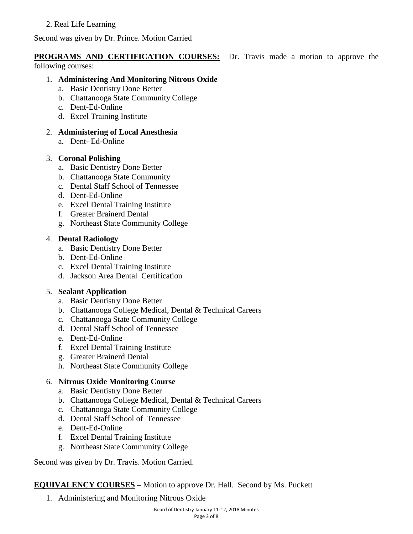# 2. Real Life Learning

Second was given by Dr. Prince. Motion Carried

# **PROGRAMS AND CERTIFICATION COURSES:** Dr. Travis made a motion to approve the

following courses:

## 1. **Administering And Monitoring Nitrous Oxide**

- a. Basic Dentistry Done Better
- b. Chattanooga State Community College
- c. Dent-Ed-Online
- d. Excel Training Institute
- 2. **Administering of Local Anesthesia** 
	- a. Dent- Ed-Online

## 3. **Coronal Polishing**

- a. Basic Dentistry Done Better
- b. Chattanooga State Community
- c. Dental Staff School of Tennessee
- d. Dent-Ed-Online
- e. Excel Dental Training Institute
- f. Greater Brainerd Dental
- g. Northeast State Community College

## 4. **Dental Radiology**

- a. Basic Dentistry Done Better
- b. Dent-Ed-Online
- c. Excel Dental Training Institute
- d. Jackson Area Dental Certification

# 5. **Sealant Application**

- a. Basic Dentistry Done Better
- b. Chattanooga College Medical, Dental & Technical Careers
- c. Chattanooga State Community College
- d. Dental Staff School of Tennessee
- e. Dent-Ed-Online
- f. Excel Dental Training Institute
- g. Greater Brainerd Dental
- h. Northeast State Community College

# 6. **Nitrous Oxide Monitoring Course**

- a. Basic Dentistry Done Better
- b. Chattanooga College Medical, Dental & Technical Careers
- c. Chattanooga State Community College
- d. Dental Staff School of Tennessee
- e. Dent-Ed-Online
- f. Excel Dental Training Institute
- g. Northeast State Community College

Second was given by Dr. Travis. Motion Carried.

# **EQUIVALENCY COURSES** – Motion to approve Dr. Hall. Second by Ms. Puckett

1. Administering and Monitoring Nitrous Oxide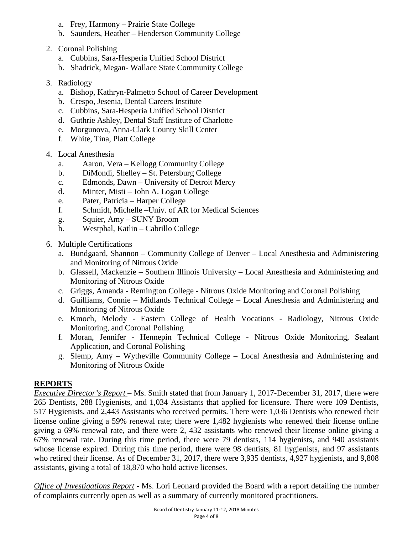- a. Frey, Harmony Prairie State College
- b. Saunders, Heather Henderson Community College
- 2. Coronal Polishing
	- a. Cubbins, Sara-Hesperia Unified School District
	- b. Shadrick, Megan- Wallace State Community College
- 3. Radiology
	- a. Bishop, Kathryn-Palmetto School of Career Development
	- b. Crespo, Jesenia, Dental Careers Institute
	- c. Cubbins, Sara-Hesperia Unified School District
	- d. Guthrie Ashley, Dental Staff Institute of Charlotte
	- e. Morgunova, Anna-Clark County Skill Center
	- f. White, Tina, Platt College
- 4. Local Anesthesia
	- a. Aaron, Vera Kellogg Community College
	- b. DiMondi, Shelley St. Petersburg College
	- c. Edmonds, Dawn University of Detroit Mercy
	- d. Minter, Misti John A. Logan College
	- e. Pater, Patricia Harper College
	- f. Schmidt, Michelle –Univ. of AR for Medical Sciences
	- g. Squier, Amy SUNY Broom
	- h. Westphal, Katlin Cabrillo College
- 6. Multiple Certifications
	- a. Bundgaard, Shannon Community College of Denver Local Anesthesia and Administering and Monitoring of Nitrous Oxide
	- b. Glassell, Mackenzie Southern Illinois University Local Anesthesia and Administering and Monitoring of Nitrous Oxide
	- c. Griggs, Amanda Remington College Nitrous Oxide Monitoring and Coronal Polishing
	- d. Guilliams, Connie Midlands Technical College Local Anesthesia and Administering and Monitoring of Nitrous Oxide
	- e. Kmoch, Melody Eastern College of Health Vocations Radiology, Nitrous Oxide Monitoring, and Coronal Polishing
	- f. Moran, Jennifer Hennepin Technical College Nitrous Oxide Monitoring, Sealant Application, and Coronal Polishing
	- g. Slemp, Amy Wytheville Community College Local Anesthesia and Administering and Monitoring of Nitrous Oxide

# **REPORTS**

*Executive Director's Report* – Ms. Smith stated that from January 1, 2017-December 31, 2017, there were 265 Dentists, 288 Hygienists, and 1,034 Assistants that applied for licensure. There were 109 Dentists, 517 Hygienists, and 2,443 Assistants who received permits. There were 1,036 Dentists who renewed their license online giving a 59% renewal rate; there were 1,482 hygienists who renewed their license online giving a 69% renewal rate, and there were 2, 432 assistants who renewed their license online giving a 67% renewal rate. During this time period, there were 79 dentists, 114 hygienists, and 940 assistants whose license expired. During this time period, there were 98 dentists, 81 hygienists, and 97 assistants who retired their license. As of December 31, 2017, there were 3,935 dentists, 4,927 hygienists, and 9,808 assistants, giving a total of 18,870 who hold active licenses.

*Office of Investigations Report* - Ms. Lori Leonard provided the Board with a report detailing the number of complaints currently open as well as a summary of currently monitored practitioners.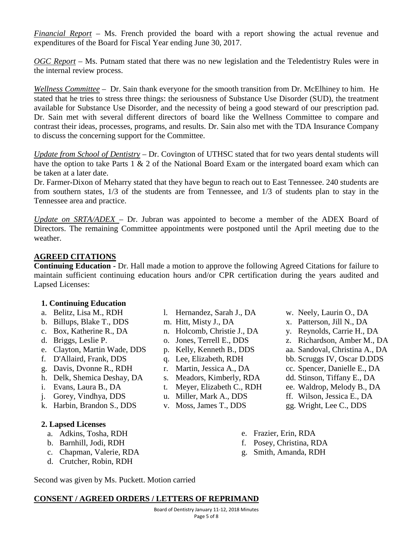*Financial Report* – Ms. French provided the board with a report showing the actual revenue and expenditures of the Board for Fiscal Year ending June 30, 2017.

*OGC Report* – Ms. Putnam stated that there was no new legislation and the Teledentistry Rules were in the internal review process.

*Wellness Committee* – Dr. Sain thank everyone for the smooth transition from Dr. McElhiney to him. He stated that he tries to stress three things: the seriousness of Substance Use Disorder (SUD), the treatment available for Substance Use Disorder, and the necessity of being a good steward of our prescription pad. Dr. Sain met with several different directors of board like the Wellness Committee to compare and contrast their ideas, processes, programs, and results. Dr. Sain also met with the TDA Insurance Company to discuss the concerning support for the Committee.

*Update from School of Dentistry* – Dr. Covington of UTHSC stated that for two years dental students will have the option to take Parts 1 & 2 of the National Board Exam or the intergated board exam which can be taken at a later date.

Dr. Farmer-Dixon of Meharry stated that they have begun to reach out to East Tennessee. 240 students are from southern states, 1/3 of the students are from Tennessee, and 1/3 of students plan to stay in the Tennessee area and practice.

*Update on SRTA/ADEX* – Dr. Jubran was appointed to become a member of the ADEX Board of Directors. The remaining Committee appointments were postponed until the April meeting due to the weather.

## **AGREED CITATIONS**

**Continuing Education -** Dr. Hall made a motion to approve the following Agreed Citations for failure to maintain sufficient continuing education hours and/or CPR certification during the years audited and Lapsed Licenses:

## **1. Continuing Education**

- a. Belitz, Lisa M., RDH
- b. Billups, Blake T., DDS
- c. Box, Katherine R., DA
- d. Briggs, Leslie P.
- e. Clayton, Martin Wade, DDS
- f. D'Allaird, Frank, DDS
- g. Davis, Dvonne R., RDH
- h. Delk, Shemica Deshay, DA
- i. Evans, Laura B., DA
- j. Gorey, Vindhya, DDS
- k. Harbin, Brandon S., DDS

# **2. Lapsed Licenses**

- a. Adkins, Tosha, RDH
- b. Barnhill, Jodi, RDH
- c. Chapman, Valerie, RDA
- d. Crutcher, Robin, RDH
- l. Hernandez, Sarah J., DA
- m. Hitt, Misty J., DA
- n. Holcomb, Christie J., DA
- o. Jones, Terrell E., DDS
- p. Kelly, Kenneth B., DDS
- q. Lee, Elizabeth, RDH
- r. Martin, Jessica A., DA
- s. Meadors, Kimberly, RDA
- t. Meyer, Elizabeth C., RDH
- u. Miller, Mark A., DDS
- v. Moss, James T., DDS
- w. Neely, Laurin O., DA
- x. Patterson, Jill N., DA
- y. Reynolds, Carrie H., DA
- z. Richardson, Amber M., DA
- aa. Sandoval, Christina A., DA
- bb. Scruggs IV, Oscar D.DDS
- cc. Spencer, Danielle E., DA
- dd. Stinson, Tiffany E., DA
- ee. Waldrop, Melody B., DA
- ff. Wilson, Jessica E., DA
- gg. Wright, Lee C., DDS
- e. Frazier, Erin, RDA
- f. Posey, Christina, RDA
- g. Smith, Amanda, RDH

Second was given by Ms. Puckett. Motion carried

## **CONSENT / AGREED ORDERS / LETTERS OF REPRIMAND**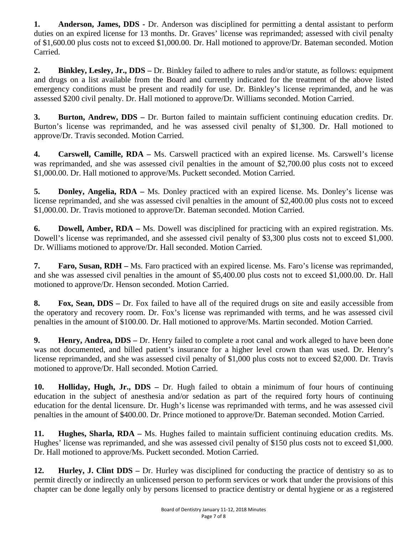**1. Anderson, James, DDS -** Dr. Anderson was disciplined for permitting a dental assistant to perform duties on an expired license for 13 months. Dr. Graves' license was reprimanded; assessed with civil penalty of \$1,600.00 plus costs not to exceed \$1,000.00. Dr. Hall motioned to approve/Dr. Bateman seconded. Motion Carried.

**2. Binkley, Lesley, Jr., DDS –** Dr. Binkley failed to adhere to rules and/or statute, as follows: equipment and drugs on a list available from the Board and currently indicated for the treatment of the above listed emergency conditions must be present and readily for use. Dr. Binkley's license reprimanded, and he was assessed \$200 civil penalty. Dr. Hall motioned to approve/Dr. Williams seconded. Motion Carried.

**3. Burton, Andrew, DDS –** Dr. Burton failed to maintain sufficient continuing education credits. Dr. Burton's license was reprimanded, and he was assessed civil penalty of \$1,300. Dr. Hall motioned to approve/Dr. Travis seconded. Motion Carried.

**4. Carswell, Camille, RDA –** Ms. Carswell practiced with an expired license. Ms. Carswell's license was reprimanded, and she was assessed civil penalties in the amount of \$2,700.00 plus costs not to exceed \$1,000.00. Dr. Hall motioned to approve/Ms. Puckett seconded. Motion Carried.

**5. Donley, Angelia, RDA –** Ms. Donley practiced with an expired license. Ms. Donley's license was license reprimanded, and she was assessed civil penalties in the amount of \$2,400.00 plus costs not to exceed \$1,000.00. Dr. Travis motioned to approve/Dr. Bateman seconded. Motion Carried.

**6. Dowell, Amber, RDA –** Ms. Dowell was disciplined for practicing with an expired registration. Ms. Dowell's license was reprimanded, and she assessed civil penalty of \$3,300 plus costs not to exceed \$1,000. Dr. Williams motioned to approve/Dr. Hall seconded. Motion Carried.

**7. Faro, Susan, RDH –** Ms. Faro practiced with an expired license. Ms. Faro's license was reprimanded, and she was assessed civil penalties in the amount of \$5,400.00 plus costs not to exceed \$1,000.00. Dr. Hall motioned to approve/Dr. Henson seconded. Motion Carried.

**8. Fox, Sean, DDS –** Dr. Fox failed to have all of the required drugs on site and easily accessible from the operatory and recovery room. Dr. Fox's license was reprimanded with terms, and he was assessed civil penalties in the amount of \$100.00. Dr. Hall motioned to approve/Ms. Martin seconded. Motion Carried.

**9. Henry, Andrea, DDS –** Dr. Henry failed to complete a root canal and work alleged to have been done was not documented, and billed patient's insurance for a higher level crown than was used. Dr. Henry's license reprimanded, and she was assessed civil penalty of \$1,000 plus costs not to exceed \$2,000. Dr. Travis motioned to approve/Dr. Hall seconded. Motion Carried.

**10. Holliday, Hugh, Jr., DDS –** Dr. Hugh failed to obtain a minimum of four hours of continuing education in the subject of anesthesia and/or sedation as part of the required forty hours of continuing education for the dental licensure. Dr. Hugh's license was reprimanded with terms, and he was assessed civil penalties in the amount of \$400.00. Dr. Prince motioned to approve/Dr. Bateman seconded. Motion Carried.

**11. Hughes, Sharla, RDA –** Ms. Hughes failed to maintain sufficient continuing education credits. Ms. Hughes' license was reprimanded, and she was assessed civil penalty of \$150 plus costs not to exceed \$1,000. Dr. Hall motioned to approve/Ms. Puckett seconded. Motion Carried.

**12. Hurley, J. Clint DDS –** Dr. Hurley was disciplined for conducting the practice of dentistry so as to permit directly or indirectly an unlicensed person to perform services or work that under the provisions of this chapter can be done legally only by persons licensed to practice dentistry or dental hygiene or as a registered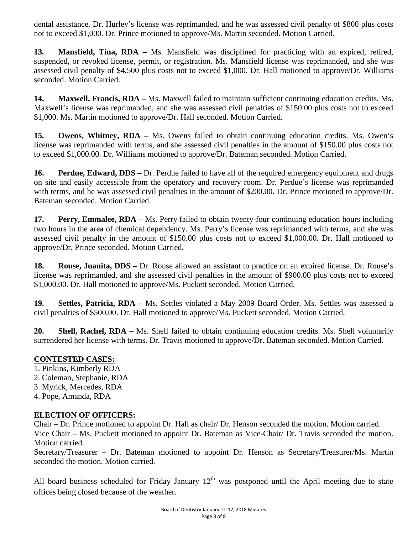dental assistance. Dr. Hurley's license was reprimanded, and he was assessed civil penalty of \$800 plus costs not to exceed \$1,000. Dr. Prince motioned to approve/Ms. Martin seconded. Motion Carried.

**13. Mansfield, Tina, RDA –** Ms. Mansfield was disciplined for practicing with an expired, retired, suspended, or revoked license, permit, or registration. Ms. Mansfield license was reprimanded, and she was assessed civil penalty of \$4,500 plus costs not to exceed \$1,000. Dr. Hall motioned to approve/Dr. Williams seconded. Motion Carried.

**14. Maxwell, Francis, RDA –** Ms. Maxwell failed to maintain sufficient continuing education credits. Ms. Maxwell's license was reprimanded, and she was assessed civil penalties of \$150.00 plus costs not to exceed \$1,000. Ms. Martin motioned to approve/Dr. Hall seconded. Motion Carried.

**15. Owens, Whitney, RDA –** Ms. Owens failed to obtain continuing education credits. Ms. Owen's license was reprimanded with terms, and she assessed civil penalties in the amount of \$150.00 plus costs not to exceed \$1,000.00. Dr. Williams motioned to approve/Dr. Bateman seconded. Motion Carried.

**16. Perdue, Edward, DDS –** Dr. Perdue failed to have all of the required emergency equipment and drugs on site and easily accessible from the operatory and recovery room. Dr. Perdue's license was reprimanded with terms, and he was assessed civil penalties in the amount of \$200.00. Dr. Prince motioned to approve/Dr. Bateman seconded. Motion Carried.

**17. Perry, Emmalee, RDA –** Ms. Perry failed to obtain twenty-four continuing education hours including two hours in the area of chemical dependency. Ms. Perry's license was reprimanded with terms, and she was assessed civil penalty in the amount of \$150.00 plus costs not to exceed \$1,000.00. Dr. Hall motioned to approve/Dr. Prince seconded. Motion Carried.

**18. Rouse, Juanita, DDS –** Dr. Rouse allowed an assistant to practice on an expired license. Dr. Rouse's license was reprimanded, and she assessed civil penalties in the amount of \$900.00 plus costs not to exceed \$1,000.00. Dr. Hall motioned to approve/Ms. Puckett seconded. Motion Carried.

**19. Settles, Patricia, RDA –** Ms. Settles violated a May 2009 Board Order. Ms. Settles was assessed a civil penalties of \$500.00. Dr. Hall motioned to approve/Ms. Puckett seconded. Motion Carried.

**20. Shell, Rachel, RDA –** Ms. Shell failed to obtain continuing education credits. Ms. Shell voluntarily surrendered her license with terms. Dr. Travis motioned to approve/Dr. Bateman seconded. Motion Carried.

## **CONTESTED CASES:**

- 1. Pinkins, Kimberly RDA
- 2. Coleman, Stephanie, RDA
- 3. Myrick, Mercedes, RDA
- 4. Pope, Amanda, RDA

# **ELECTION OF OFFICERS:**

Chair – Dr. Prince motioned to appoint Dr. Hall as chair/ Dr. Henson seconded the motion. Motion carried. Vice Chair – Ms. Puckett motioned to appoint Dr. Bateman as Vice-Chair/ Dr. Travis seconded the motion. Motion carried.

Secretary/Treasurer – Dr. Bateman motioned to appoint Dr. Henson as Secretary/Treasurer/Ms. Martin seconded the motion. Motion carried.

All board business scheduled for Friday January  $12<sup>th</sup>$  was postponed until the April meeting due to state offices being closed because of the weather.